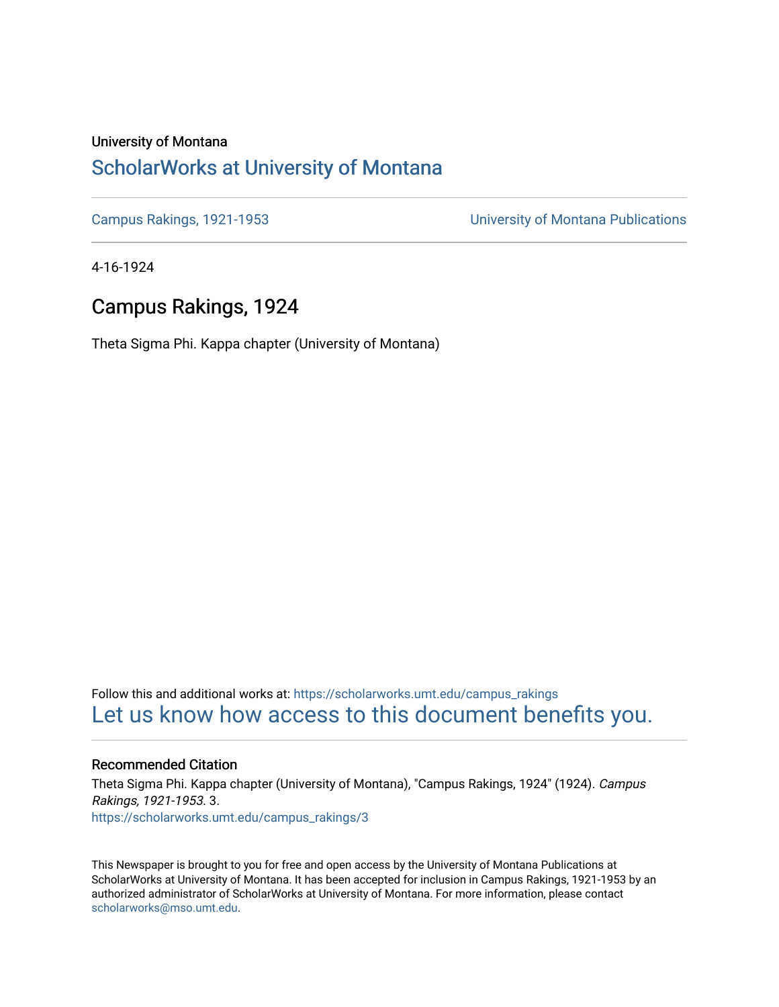#### University of Montana

### [ScholarWorks at University of Montana](https://scholarworks.umt.edu/)

[Campus Rakings, 1921-1953](https://scholarworks.umt.edu/campus_rakings) [University of Montana Publications](https://scholarworks.umt.edu/umpubs) 

4-16-1924

### Campus Rakings, 1924

Theta Sigma Phi. Kappa chapter (University of Montana)

Follow this and additional works at: [https://scholarworks.umt.edu/campus\\_rakings](https://scholarworks.umt.edu/campus_rakings?utm_source=scholarworks.umt.edu%2Fcampus_rakings%2F3&utm_medium=PDF&utm_campaign=PDFCoverPages) [Let us know how access to this document benefits you.](https://goo.gl/forms/s2rGfXOLzz71qgsB2) 

#### Recommended Citation

Theta Sigma Phi. Kappa chapter (University of Montana), "Campus Rakings, 1924" (1924). Campus Rakings, 1921-1953. 3. [https://scholarworks.umt.edu/campus\\_rakings/3](https://scholarworks.umt.edu/campus_rakings/3?utm_source=scholarworks.umt.edu%2Fcampus_rakings%2F3&utm_medium=PDF&utm_campaign=PDFCoverPages) 

This Newspaper is brought to you for free and open access by the University of Montana Publications at ScholarWorks at University of Montana. It has been accepted for inclusion in Campus Rakings, 1921-1953 by an authorized administrator of ScholarWorks at University of Montana. For more information, please contact [scholarworks@mso.umt.edu.](mailto:scholarworks@mso.umt.edu)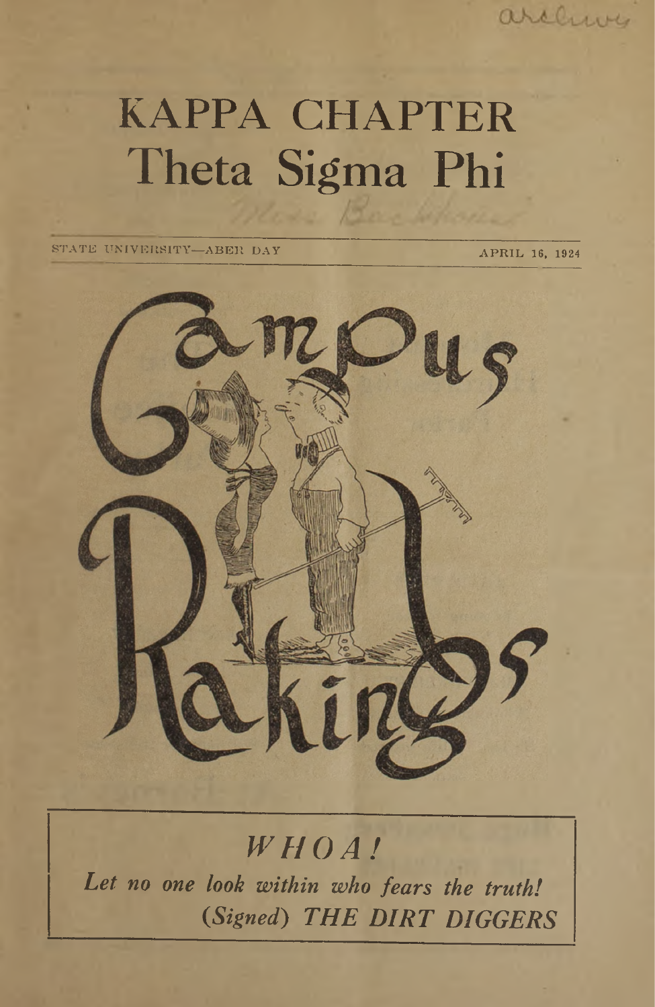### archive

# KAPPA CHAPTER Theta Sigma Phi

STATE UNIVERSITY—ABER DAY APRIL 16, 1924



## *WHOA!*

*Let no one look within who fears the truth! (Signed) THE DIRT DIGGERS*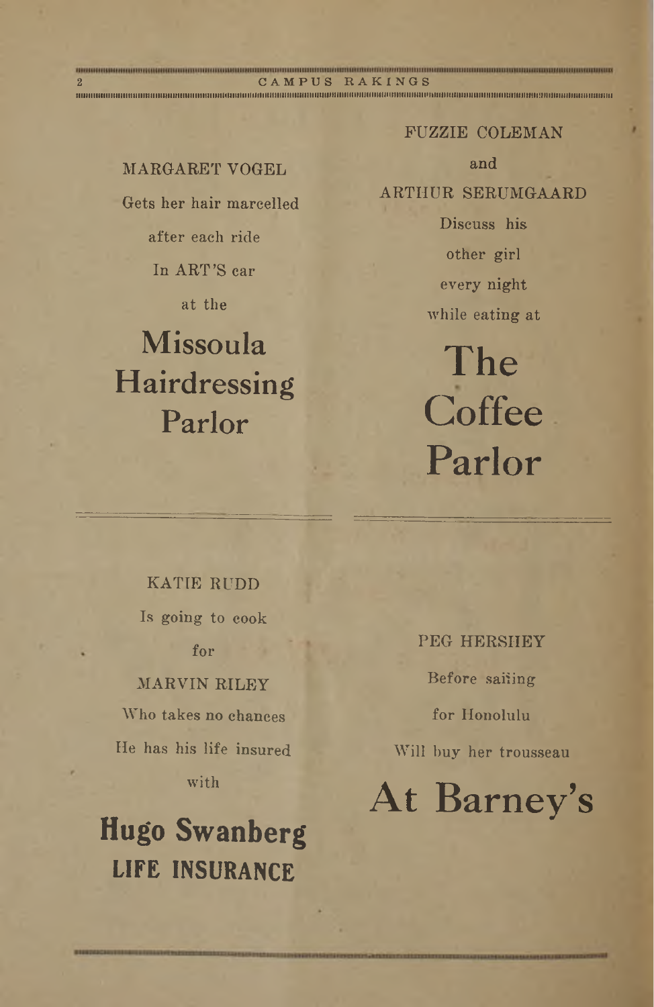MARGARET VOGEL Gets her hair marcelled after each ride In ART'S car

 $\begin{array}{ccccc} \textit{non-commun} & \textit{non-commun} & \textit{non-commun} & \textit{non-commun} & \textit{non-commun} \\ \textit{2} & \textit{C-A} & \textit{P } \textit{U} & \textit{S} & \textit{R A} & \textit{K} & \textit{I} & \textit{N} & \textit{G} & \textit{S} \end{array}$ 

**NiiiiiiiiiiiiiiiiiiiiiiiiiiiiiiiiiiiiiiiiiniiiiiiiiitiiiiituiiiiuiiiiiiiiiiiiiiiiiiiiiiiiiiiiiiiiiniiiiiitiiiiiiiiiiiiiiiiiiimiiiiuiiiHiiiiiiitiiiiimiiiiiiniitiiiiHUiiiiiniiHiiiiiiiiifiiiiniiiiiiiiu**

at the

## Missoula Hairdressing Parlor

FUZZIE COLEMAN

and

ARTHUR SERUMGAARD

Discuss his other girl every night while eating at

The **Coffee** Parlor

KATIE RUDD Is going to cook for MARVIN RILEY Who takes no chances

He has his life insured with

## **Hugo Swanberg LIFE INSURANCE**

PEG HERSHEY Before sailing for Honolulu Will buy her trousseau

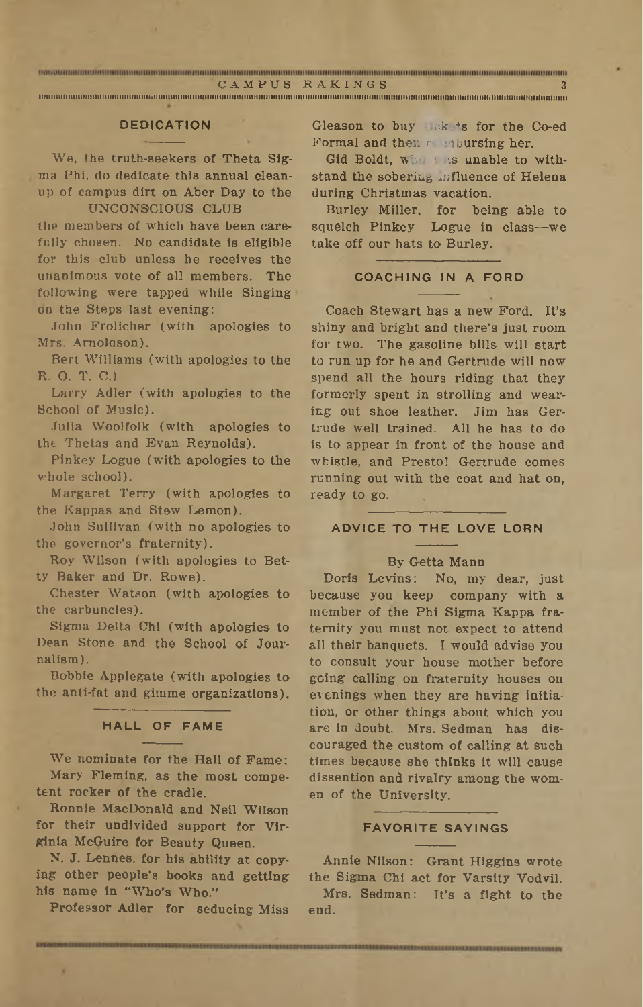$\frac{1}{\text{CAMPUS}}$  . The state of  $\frac{1}{\text{CAMPUS}}$  and  $\frac{1}{\text{CAMPUS}}$  and  $\frac{1}{\text{CAMPUS}}$  and  $\frac{1}{\text{CAMPUS}}$  and  $\frac{1}{\text{CAMPUS}}$  and  $\frac{1}{\text{CAMPUS}}$  and  $\frac{1}{\text{CAMPUS}}$ 

**iiiimiiiuiiiiiiiiiitiiiuiuiiiiiiiiimiiiiiiuiiiiiiiiniHiiiiiniiiiuiiiiiuiiiiiuiuiiiitiiiiiiiiiiiiiiiiuiiiiiiiiiiiiiiiimiiimitiiiiiiiiiiiiiiiiiiimDiiiiiiiiiiiiiiihiiiiniiiiiiiiiiiiiiiiiiiiiiiii**

#### **DEDICATION**

We, the truth-seekers of Theta Sigma Phi, do dedicate this annual cleanup of campus dirt on Aber Day to the

#### UNCONSCIOUS CLUB

the members of which have been carefully chosen. No candidate is eligible for this club unless he receives the unanimous vote of all members. The following were tapped while Singing on the Steps last evening:

John Frolicher (with apologies to Mrs. Amolason).

Bert Williams (with apologies to the R. O. T. C.)

Larry Adler (with apologies to the School of Music).

Julia Woolfolk (with apologies to the Thetas and Evan Reynolds).

Pinkey Logue (with apologies to the whole school).

Margaret Terry (with apologies to the Kappas and Stew Lemon).

John Sullivan (with no apologies to the governor's fraternity).

Roy Wilson (with apologies to Betty Baker and Dr. Rowe).

Chester Watson (with apologies to the carbuncles).

Sigma Delta Chi (with apologies to Dean Stone and the School of Journalism).

Bobbie Applegate (with apologies to the anti-fat and gimme organizations).

#### **HALL OF FAME**

We nominate for the Hall of Fame: Mary Fleming, as the most competent rocker Of the cradle.

Ronnie MacDonald and Neil Wilson for their undivided support for Virginia McGuire for Beauty Queen.

N. J. Lennes, for his ability at copying other people's books and getting his name in "Who's Who."

Professor Adler for seducing Miss

Gleason to buy tickets for the Co-ed Formal and then reimbursing her.

Gid Boldt, who is unable to withstand the sobering influence of Helena during Christmas vacation.

Burley Miller, for being able to squelch Pinkey Logue in class—we take off our hats to Burley.

#### **COACHING IN A FORD**

Coach Stewart has a new Ford. It's shiny and bright and there's just room for two. The gasoline bills will start to run dp for he and Gertrude will now spend all the hours riding that they formerly spent in strolling and wearing out shoe leather. Jim has Gertrude well trained. All he has to do is to appear in front of the house and whistle, and Presto! Gertrude comes running out with the coat and hat on, ready to go.

#### **ADVICE TO THE LOVE LORN**

#### By Getta Mann

Doris Levins: No, my dear, just because you keep company with a member of the Phi Sigma Kappa fraternity you must not expect to attend all their banquets. I would advise you to consult your house mother before going calling on fraternity houses on evenings when they are having initiation, or other things about which you are in doubt. Mrs. Sedman has discouraged the custom of calling at such times because she thinks it will cause dissention and rivalry among the women of the University.

#### **FAVORITE SAYINGS**

Annie Nilson: Grant Higgins wrote the Sigma Chi act for Varsity Vodvil.

Mrs. Sedman: It's a fight to the end.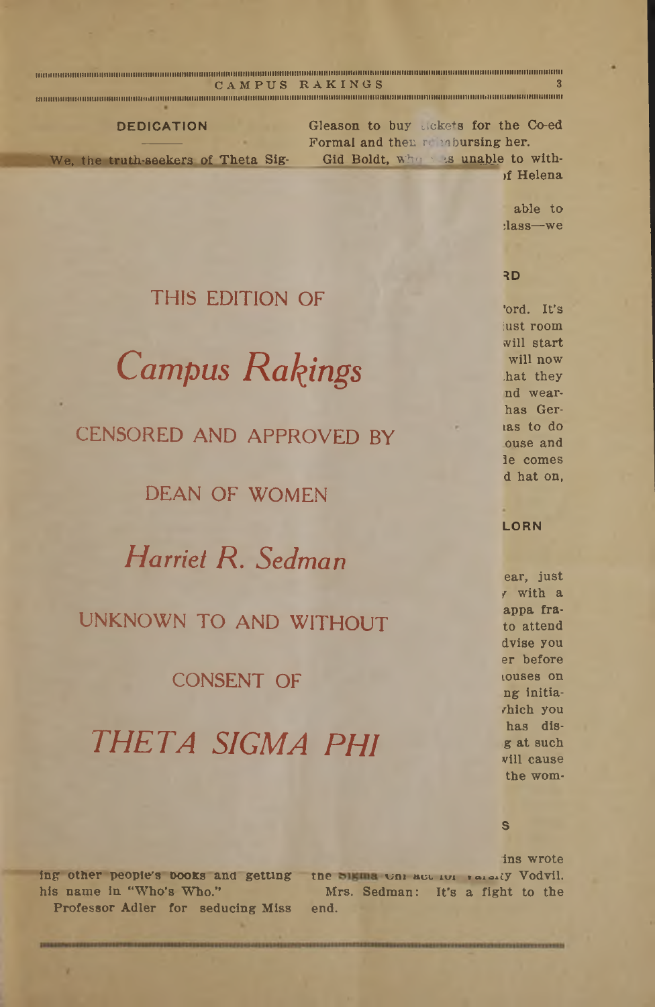|                                     | я<br>CAMPUS RAKINGS                  |
|-------------------------------------|--------------------------------------|
|                                     |                                      |
| <b>DEDICATION</b>                   | Gleason to buy sickets for the Co-ed |
|                                     | Formal and then reimbursing her.     |
| We, the truth-seekers of Theta Sig- | Gid Boldt, where is unable to with-  |
|                                     | of Helena                            |
|                                     |                                      |
|                                     | $abba + a$                           |

able to :lass—*we*

#### **RD**

### THIS EDITION OF

*Campus Ratings*

CENSORED AND APPROVED BY

DEAN OF WOMEN

*Harriet R. Sedman*

#### UNKNOWN TO AND WITHOUT

#### CONSENT OF

## *THETA SIGMA PHI*

\*ord. It's iust room will start will now .hat they nd wearhas Gertas to do ouse and ie comes d hat on,

#### **LORN**

ear, just r with a appa frato attend dvise you er before touses on ng initia- /hich you has disg at such will cause the wom-

**S**

ing other people's books and getting the bigins Onlact for various Vodvil. his name in "Who's Who." Professor Adler for seducing Miss ins wrote **Mrs. Sedman:** It's a fight to the end.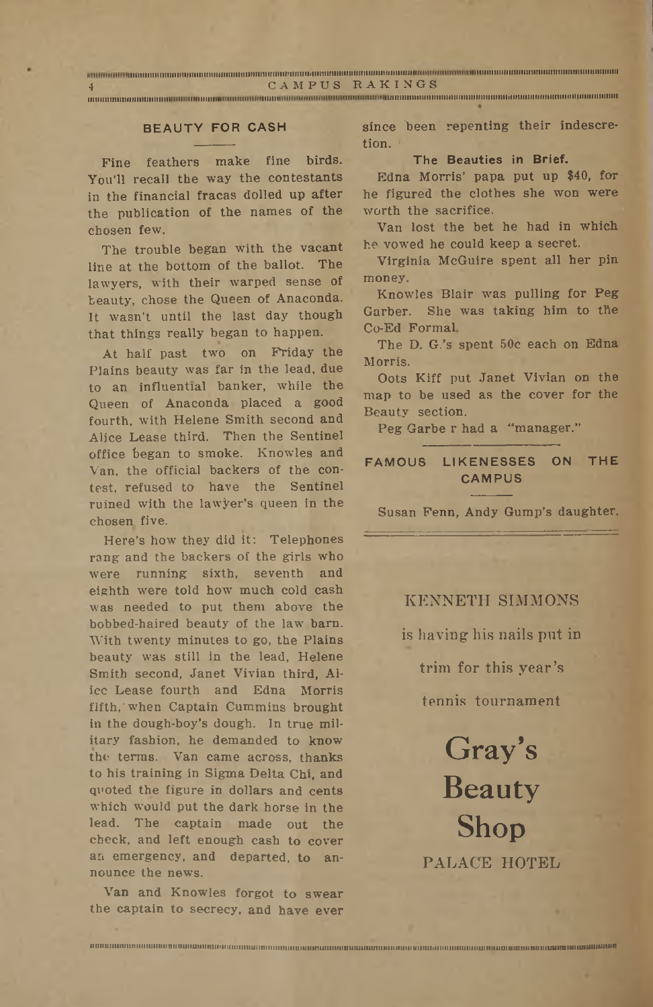a mengalam kalaman manan kalaman kalam sata berakan kalaman kalaman mengan kalaman mengan kalaman kalaman kalaman ka <sup>4</sup> CAMPUS RAKINGS

**iimiiinimiiiiiiii.................................... iiiiiiiiiiiiiiiiiiiiiiiiiiiiniiinimihuiiimniiiiuiiiiiiiiiiiiiiiiiiiiiiiiiiii**

#### **BEAUTY FOR CASH**

Fine feathers make fine birds. You'll recall the way the contestants in the financial fracas dolled up after the publication of the names of the chosen few.

The trouble began with the vacant line at the bottom of the-ballot. The lawyers, with their warped sense of beauty, chose the Queen of Anaconda. It wasn't until the last day though that things really began to happen.

At half past two on Friday the Plains beauty was far in the lead, due to an influential banker, while the Queen of Anaconda placed a good fourth, with Helene Smith second and Alice Lease third. Then the Sentinel office began to smoke. Knowles and Van, the official backers of the contest, refused to have the Sentinel ruined with the lawyer's queen in the chosen five.

Here's how they did it: Telephones rang and the backers of the girls who were running sixth, seventh and eighth were told how much cold cash was needed to put them above the bobbed-haired beauty of the law barn. With twenty minutes to go, the Plains beauty was still in the lead, Helene Smith second, Janet Vivian third, Alice Lease fourth and Edna Morris fifth,'when Captain Cummins brought in the dough-boy's dough. In true military fashion, he demanded to know the terms. Van came across, thanks to his training in Sigma, Delta Chi, and quoted the figure in dollars and cents which would put the dark horse in the lead. The captain made out the check, and left enough cash to cover an emergency, and departed, to announce the news.

Van and Knowles forgot to swear the captain to secrecy, and have ever

**iiniiiiiiiuiiiiiiiiiiiuiiiiiiniiiiuifuiiiiKiiiiiiiiiiitiinniiniiiiiiiniiiHiuiimiiiinimDuimiiittitiHiiiiuiiiiuiiiiiiiiiiiiiiiiiiiiiiiuniniiiiuiMiaiiiimiiiiuuinsiiiiuniMmuawi**

since 'been repenting their indescretion. '

#### **The Beauties in Brief.**

Edna Morris' papa put up \$40, for he figured the clothes she won were worth the sacrifice.

Van lost the bet he had in which he vowed he could keep a secret,

Virginia McGuire spent all her pin money.

Knowles Blair was pulling for Peg Garber. She was taking him to the Co-Ed Formal

The D. G.'s spent 50c each on Edna Morris.

Oots Kiff put Janet Vivian on the map to be used as the cover for the Beauty section.

Peg Garbe r had a "manager.''

#### **FAMOUS LIKENESSES ON THE CAMPUS**

Susan Fenn, Andy Gump's daughter;

#### KENNETH SIMMONS

is having his nails put in

trim for this year's

tennis tournament

Gray's Beauty Shop PALACE HOTEL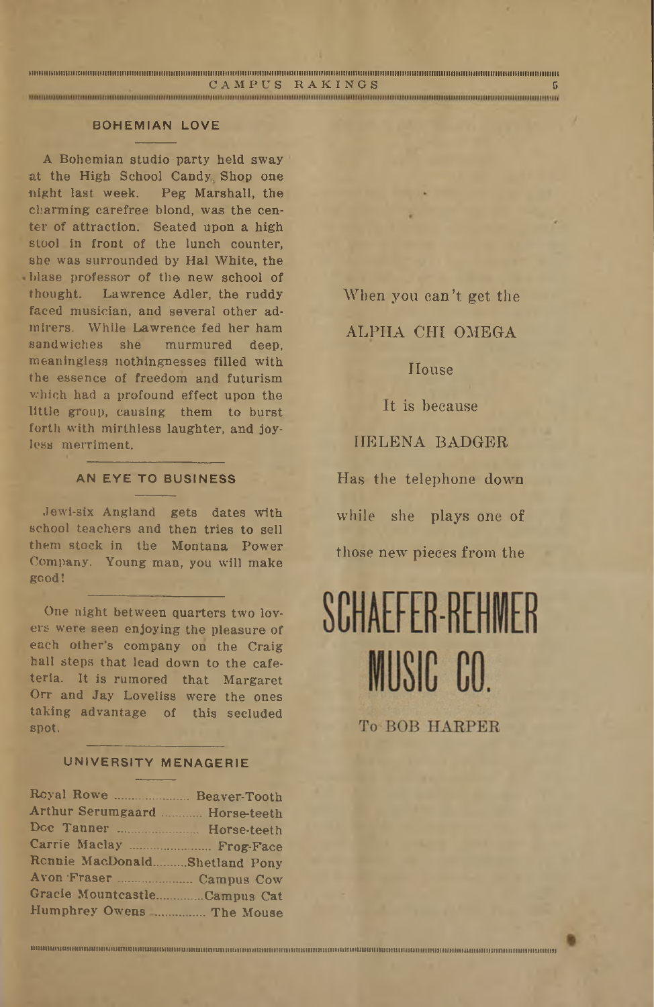| CAMPUS RAKINGS                                                                                                                                                                                                                       |  |
|--------------------------------------------------------------------------------------------------------------------------------------------------------------------------------------------------------------------------------------|--|
| <u> 1989 - Andrea Stadt Stadt Stadt Stadt Stadt Stadt Stadt Stadt Stadt Stadt Stadt Stadt Stadt Stadt Stadt Stadt Stadt Stadt Stadt Stadt Stadt Stadt Stadt Stadt Stadt Stadt Stadt Stadt Stadt Stadt Stadt Stadt Stadt Stadt St</u> |  |

#### **BOHEMIAN LOVE**

A Bohemian studio party held sway at the High School Candy Shop one night last week. Peg Marshall, the charming carefree blond; was the center of attraction; Seated upon a high stool in front of the lunch counter, she was surrounded by Hal White, the blase professor of the new school of thought; Lawrence Adler, the ruddy faced musician, and several other admirers. While Lawrence fed her ham sandwiches she murmured deep, meaningless nothingnesses filled with the essence of freedom and futurism which had a profound effect upon the little group, causing them to burst forth with mirthless laughter, and joyless merriment.

#### **AN EYE TO BUSINESS**

Jewi-six Angland gets dates with school teachers and then tries to sell them stock in the Montana Power Company. Young man, you will make good!

One night between quarters two lovers were seen enjoying the pleasure of each other's company on the Craig hall steps that lead down to the cafeteria. It is rumored that Margaret Orr and Jay Loveliss were the ones taking advantage of this secluded spot.

#### **UNIVERSITY MENAGERIE**

| Reyal Rowe  Beaver-Tooth       |  |
|--------------------------------|--|
| Arthur Serumgaard  Horse-teeth |  |
| Doc Tanner  Horse-teeth        |  |
| Carrie Maclay  Frog-Face       |  |
| Rennie MacDonaldShetland Pony  |  |
|                                |  |
| Gracie MountcastleCampus Cat   |  |
| Humphrey Owens  The Mouse      |  |

When you can't get the

ALPHA CHI OMEGA

#### **House**

It is because

#### HELENA BADGER

Has the telephone down while she plays one of those new pieces from the

# SCHAFFFR-RFHMFR MUSIC CO.

**To BOB HARPER** 

**iiMMiHiunnmiinmiHiuminttnttutmuuiMnMutinMutnnniiitiiiititiittmmimaHniitnuttmuiiuuiuttnMniNuimuiiiiinmnnHUiiHiHiuiMumiinniiiimitiiiiiiiiiini**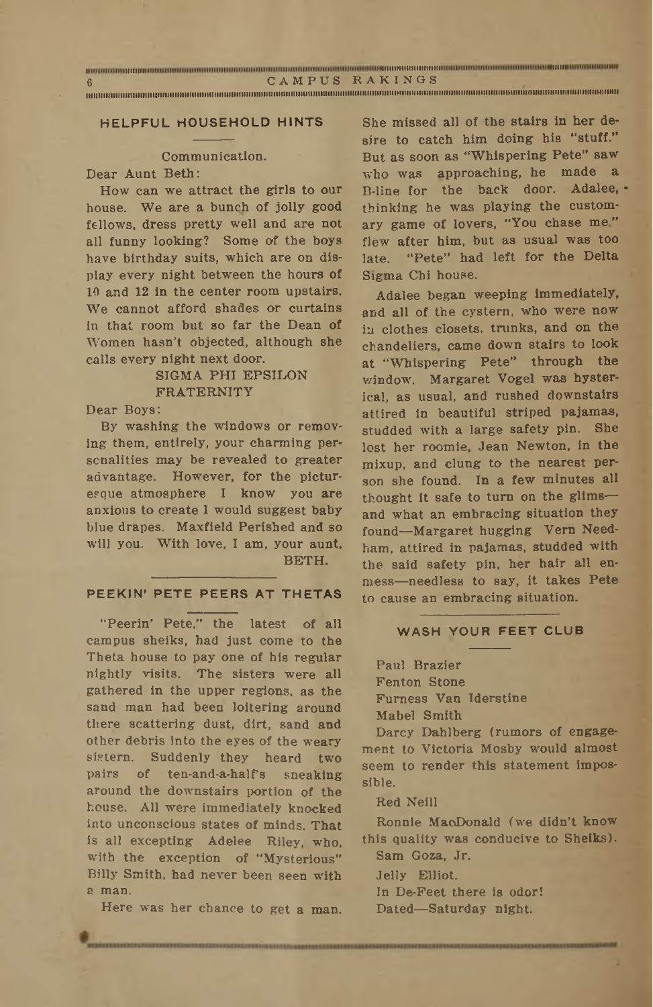| <u>The contract of the contract of the contract of the contract of the contract of the contract of the contract of the contract of the contract of the contract of the contract of the contract of the contract of the contract </u> |                |  |
|--------------------------------------------------------------------------------------------------------------------------------------------------------------------------------------------------------------------------------------|----------------|--|
|                                                                                                                                                                                                                                      | CAMPUS RAKINGS |  |

**iiiiiiiiiiiiiiiiuiiiiiiiiiiiiinuiiiiiiiiiiiniiiuuiiiiiiniiiiiiiHHiiiiiiiiuiiiiuiiuiiniiuinuiiniHiiniiiiiiuiniiiiuiiiiiiiiiiiiiiiiniiiuiiiiiiiiimiiiiiiiiiiiuiiiniiiiiiiiiiuiiiiiniiiiiim**

#### **HELPFUL HOUSEHOLD HINTS**

#### Communication.

Dear Aunt Beth:

How can we attract the girls to our house. We are a bunch of jolly good fellows, dress pretty well and are not all funny looking? Some of the boys have birthday suits, which are on display every night between the hours of 10 and 12 in the center room upstairs. We cannot afford shades or curtains in that room but so far the Dean of W'omen hasn't objected, although she calls every night next door.

#### SIGMA PHI EPSILON FRATERNITY

Dear Boys:

By washing the windows or removing them, entirely, your charming personalities may be revealed to greater advantage. However, for the picturesque atmosphere I know you are anxious to create I would suggest baby blue drapes. Maxfield Perished and so will you. With love, I am, your aunt, BETH.

#### **PEEKIN' PETE PEERS AT THETAS**

"Peerin' Pete," the latest of all campus sheiks, had just come to the Theta house to pay one of his regular nightly visits. The sisters were all gathered in the upper regions, as the sand man had been loitering around there scattering dust, dirt, sand and other debris Into the eyes of the weary sistern. Suddenly they heard two pairs of ten-and-a-half's sneaking around the downstairs portion of the house. All were immediately knocked into unconscious states of minds. That is all excepting Adelee Riley, who, with the exception of "Mysterious" Billy Smith, had never been seen with a man.

Here was her chance to get a man.

She missed all of the stairs in her desire to catch him doing his "stuff." But as soon as "Whispering Pete" saw who was approaching, he made a B-line for the back door. Adalee, thinking he was playing the customary game of lovers, "You chase me" flew after him, but as usual was too late. "Pete" had left for the Delta Sigma Chi house.

Adalee began weeping immediately, and all of the cystern, who were now in clothes closets, trunks, and on the chandeliers, came down stairs to look at "Whispering Pete" through the window. Margaret Vogel was hysterical, as usual, and rushed downstairs attired in beautiful striped pajamas, studded with a large safety pin. She lost her roomie, Jean Newton, in the mixup, and clung to the nearest person she found. In a few minutes all thought it safe to turn on the glims and What an embracing situation they found—Margaret hugging Vern Needham, attired in pajamas, studded with the said safety pin, her hair all enmess—needless to say, it takes Pete to cause an embracing situation;

#### **WASH YOUR FEET CLUB**

Paul Brazier Fenton Stone Furness Van Iderstine Mabel Smith

Darcy Dahlberg (rumors of engagement to Victoria Mosby would almost seem to render this statement impossible.

#### Red Neill

Ronnie MacDonald (we didn't know this quality was conducive to Sheiks). Sam Goza, Jr,

Jelly Elliot.

In De-Feet there is odor!

Dated-Saturday night.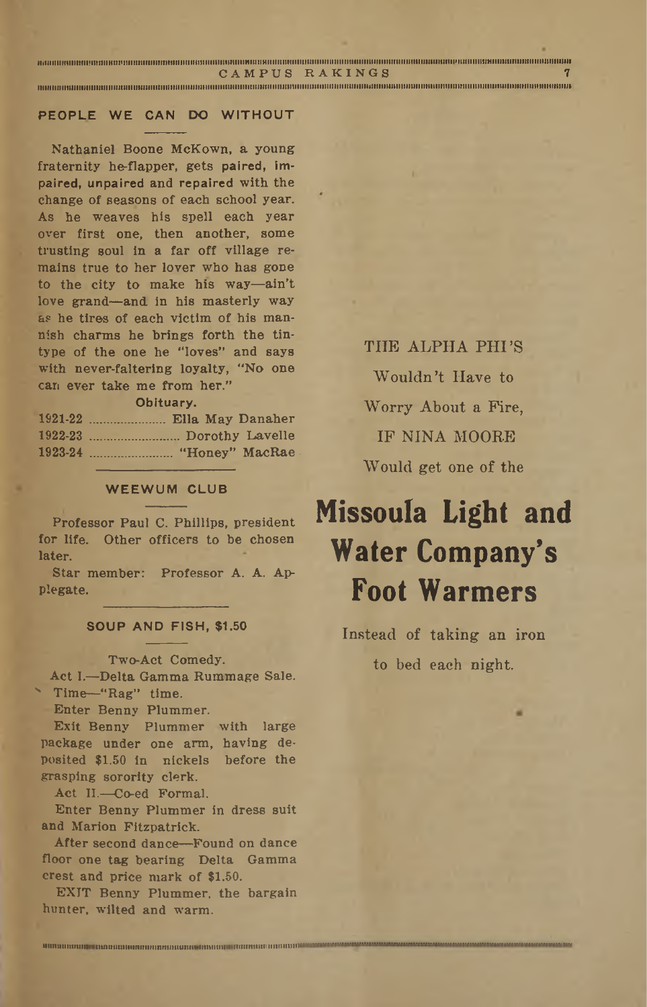**iiiiiiminimiiiiifniiiiiHiiinniiiiiiiuiiniiniiiiiiiiiiiiiiiiiiliiiiniiimiiiiiHiiiitiiiiiiiiiiiiiiiiiiiiiiimiiiHimiuiiiiiiiiiiiitiiiiiimiiiiiiiiiiiHiiiiiiiniiHiiiiimnuiiiiuiiiiHiiuiin**

**CAMPUS RAKINGS <sup>7</sup>**

maaamaanaanaanoo animaananoo animaanoo meessaanoo meessaanoo meessaanoo meessaanoo meessaanoo meessaanoo meessa

#### **PEOPLE WE CAN DO WITHOUT**

Nathaniel Boone McKown, a young fraternity he-flapper, gets paired, impaired, unpaired and repaired with the change of seasons of each school year. As he weaves his spell each year over first one, then another, some trusting soul in a far off village *remains* true to her lover who has gone to the city to make his way—ain't love grand—and; in his masterly way as he tires of each victim of his mannish charms he brings forth the tintype of the one he "loves" and says with never-faltering loyalty, "No one can ever take me from her."

#### **Obituary.**

#### **WEEWUM CLUB**

Professor Paul C. Phillips, president for life. Other officers to be chosen later.

Star member: Professor A. A. Applegate.

#### **SOUP AND FISH, \$1.50**

#### Two-Act Comedy.

Act I.—Delta Gamma Rummage Sale. '■ Time—"Rag" time.

Enter Benny Plummer.

Exit Benny Plummer with large package under one arm, having deposited \$1.50 in nickels before the grasping sorority clerk.

Act II.—Co-ed Formal.

Enter Benny Plummer in dress suit and Marion Fitzpatrick.

After second dance—Found on dance floor one tag bearing Delta Gamma crest and price mark of \$1.50. **......... <sup>I</sup> ............................................. ........................................... ....................................................................... —**

EXIT Benny Plummer, the bargain hunter, wilted and warm.

THE ALPHA PHI'S Wouldn't Have to Worry About a Fire, IF NINA MOORE Would get one of the

## **Missoula Light and Water Company's Foot Warmers**

Instead of taking an iron to bed each night.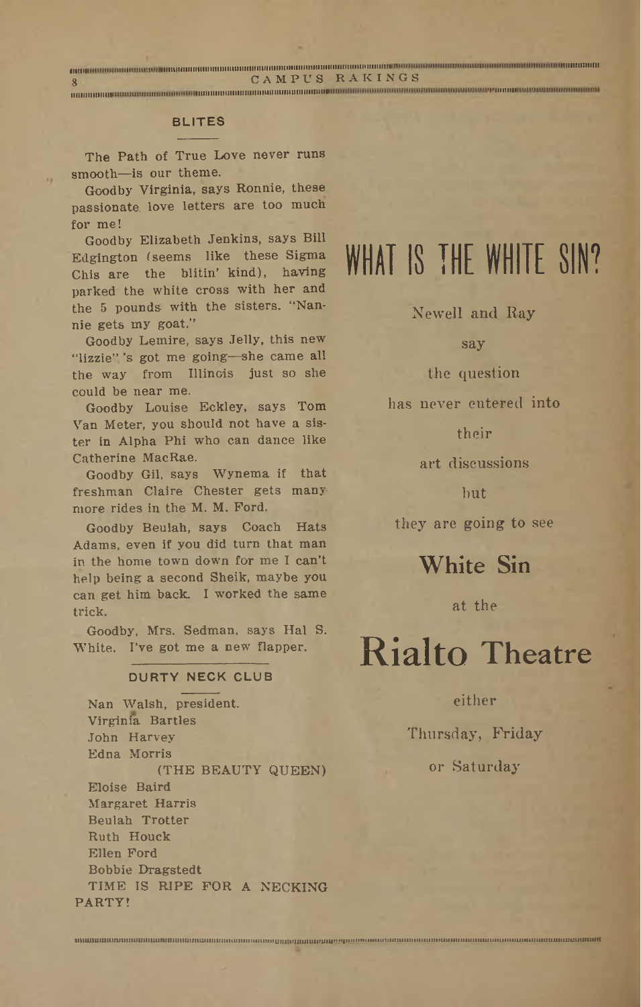**....................................................... iiiiiiiminiiiiimiiiiim.......iiiiiiimimiiiiiiiiiiiimiiiiiiiiii«ni.................................................................................................. it.........** <sup>8</sup> CAMPUS RAKINGS **........ tut......111111111111111....... in..................................................................................................... ..**

#### **BLITES**

The Path of True Love never runs smooth—is our theme.

Goodby Virginia, says Ronnie, these passionate, love letters are too much for me!

Goodby Elizabeth Jenkins, says Bill Edgington (seems like these Sigma Chis are the blitin' kind), having parked the white cross with her and the 5 pounds with the sisters. "Nannie gets my goat.''

Goodby Lemire, says Jelly, this new "lizzie"'<sup>s</sup> got me going—she came all the way from Illinois just so she could be near me.

Goodby Louise Eckley, says Tom Van Meter, you should not have a sister in Alpha Phi who can dance like Catherine MacRae.

Goodby Gil, says Wynema if that freshman Claire Chester gets many more rides in the M. M. Ford.

Goodby Beulah, says Coach Hats Adams, even if you did turn that man in the home town down for me I can't help being a second Sheik, maybe you can get him back. I worked the same trick.

Goodby, Mrs. Sedman, says Hal S. White. I've got me a new flapper,

#### **DURTY NECK CLUB**

Nan Walsh, president. Virginia Bartles John Harvey Edna Morris . (THE BEAUTY QUEEN) Eloise Baird Margaret Harris Beulah Trotter Ruth Houck Ellen Ford Bobbie Dragstedt TIME IS RIPE FOR A NECKING PARTY!

**nimumnnjmminiuuinuniaimiuiniuiiuitiiHiiiiiiiuiHiinniniiintiitinunivmiuifunimiMHtittitiiuimHHiiunuMMMiuiMtnMittiiHuiiiiimMHUMiiiMMMiMn—MW**

## WHAT IS THE WHITE SIN?

Newell and Ray

say

the question

has never entered' into

their

art discussions

but

they are going to see

White Sin

at the

## Rialto Theatre

either

Thursday, Friday

or Saturday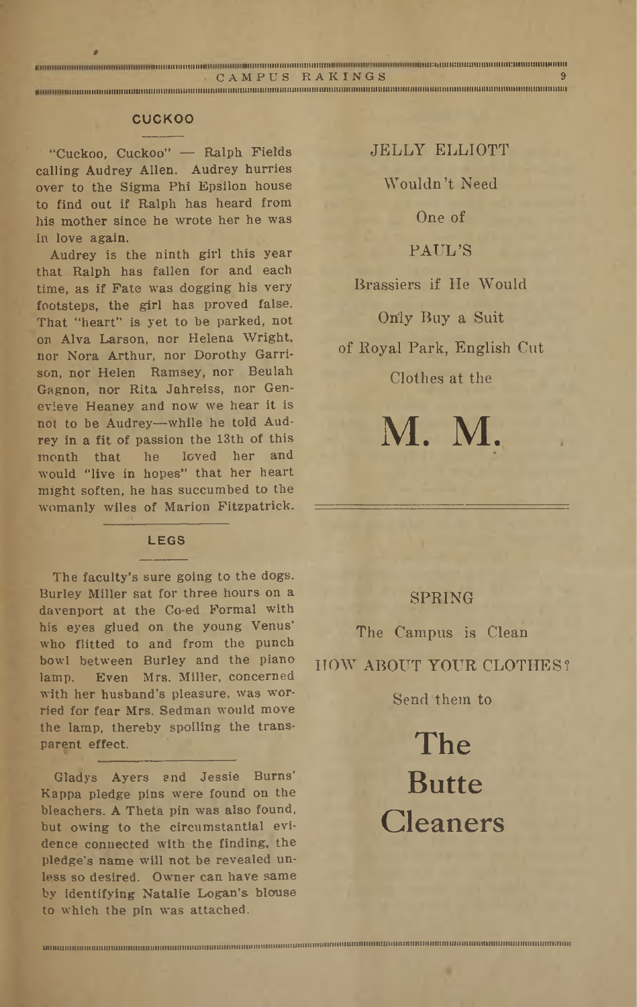| CAMPUS RAKINGS                                                                                                    |  |
|-------------------------------------------------------------------------------------------------------------------|--|
| . Ka ka ka mataman ka ka ka ka ka ka mata mataman ka ka ka mataman ka ka ka mataman ka ka ka ka ka ka ka ka ka ka |  |

#### **CUCKOO**

' "Cuckoo, Cuckoo" — Ralph Fields calling Audrey Allen. Audrey hurries over to the Sigma Phi Epsilon house to find out if Ralph has heard from his mother since he wrote her he was in love again.

Audrey is the ninth girl this year that Ralph has fallen for and each time, as if Fate was dogging his very footsteps, the girl has proved false. That "heart" is yet to be parked, not on Alya Larson, nor Helena Wright, nor Nora Arthur, nor Dorothy Garrison, nor Helen Ramsey, nor Beulah Gagnon, nor Rita Jahreiss, nor Genevieve Heaney and now we hear it is not to be Audrey—while he told Audrey in a fit of passion the 13th of this<br>month that he loved her and loved her and would; "live in hopes" that her heart might soften, he has succumbed to the womanly wiles of Marion Fitzpatrick.

#### **LEGS**

The faculty's sure going to the dogs. Burley Miller sat for three hours on a davenport at the Co-ed Formal with his eyes glued on the young Venus' who flitted to and from the punch bowl between Burley and the piano lamp. Even Mrs. Miller, concerned with her husband's pleasure, was worried for fear Mrs. Sedman would move the lamp, thereby spoiling the transparent effect.

Gladys Ayers and Jessie Burns' Kappa pledge pins were found on the bleachers. A Theta pin was also found, but owing to the circumstantial evidence connected with the finding, the pledge's name will not be revealed unless.so desired. Owner can have same by identifying Natalie Logan's blouse to which the pin was attached.

**uiiniuiiujiiiiiniiiiiiiiitiiiiiniimiiminiiiiiiiiiiiii.......miHnuHHiiimiraHiiummnimiiiiniHHBirtiiinipmHimimniiBnmmiimnmmuraumiiiumiiiiniiiiiiniii**

JELLY ELLIOTT Wouldn't Need One of PAUL'S Brassiers if He Would Only Buy a Suit of Royal Park, English Cut Clothes at the

#### SPRING

M. M.

The Campus is Clean HOW ABOUT YOUR CLOTHES?

Send them to

The Butte Cleaners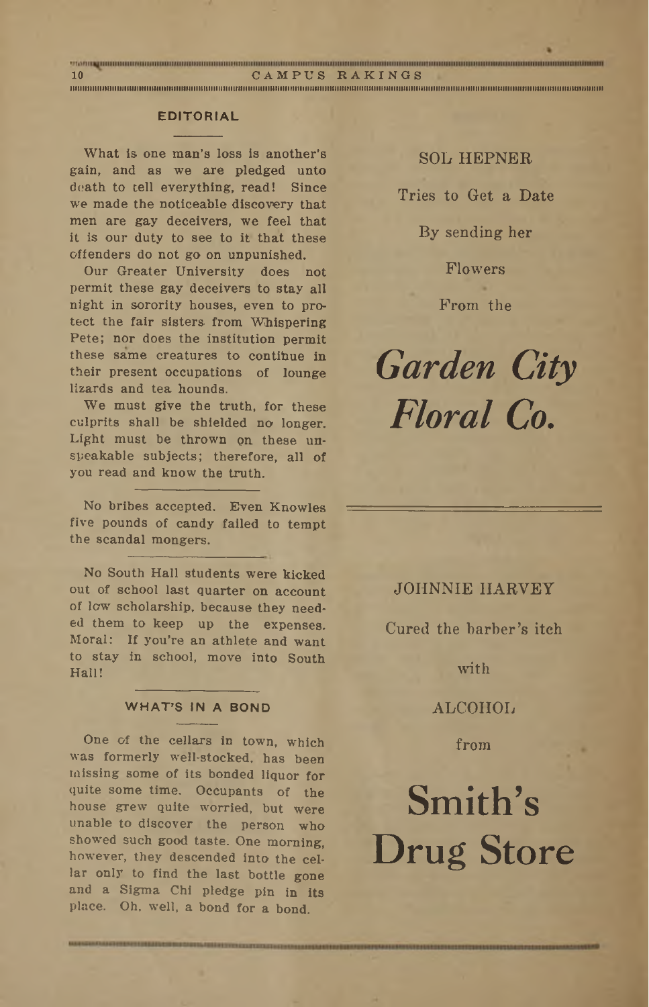#### **EDITORIAL**

What is one man's loss is another's gain, and as we are pledged unto death to cell everything, read! Since we made the noticeable discovery that men are gay deceivers, we feel that it is our duty to see to it that these offenders do not go on unpunished.

Our Greater University does not permit these gay deceivers to stay all night in sorority houses, even to protect the fair sisters from Whispering Pete; nor does the institution permit these same creatures to contihue in their present occupations of lounge lizards and tea hounds.

We must give the truth, for these culprits shall be shielded no longer. Light must be thrown on these unspeakable subjects; therefore, all of you read and know the truth.

No bribes accepted. Even Knowles five pounds of candy failed to tempt the scandal mongers.

No South Hall students were kicked out of school last quarter on account of low scholarship, because they needed them to keep up the expenses. Moral: If you're an athlete and want to stay in school, move into South Hall!

#### **WHAT'S IN A BOND**

One of the cellars in town, which was formerly well-stocked, has been missing some of its bonded liquor for quite some time; Occupants of the house grew quite worried, but were unable to discover the person who showed such good taste. One morning, however, they descended into the cellar only to find the last bottle gone and a Sigma Chi pledge pin in its place. Oh, well, a bond for a bond.

SOL HEPNER Tries to Get a Date By sending her

> Flowers From the

*Garden City Floral Co.*

#### JOHNNIE HARVEY

Cured the barber's iteh

with

ALCOHOL

from

## Smith's Drug Store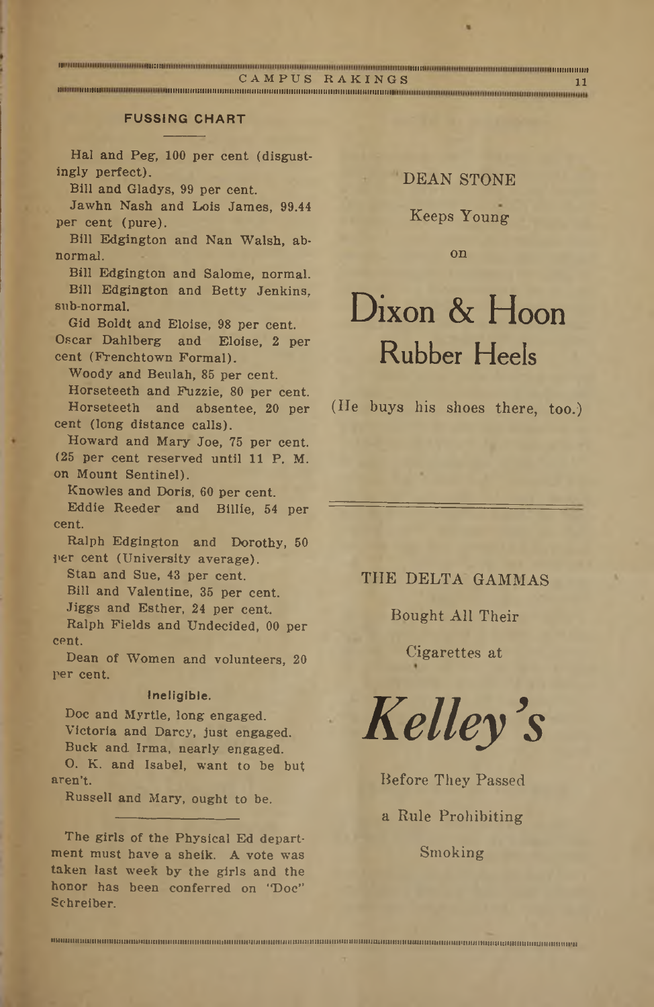**.................................................. miiiiiiii**

CAMPUS BAKINGS <sup>11</sup> **.................. iiiiiuiiiiiiiiiiiimiiiiiiiiii........iiiiiiiiiiiiiiiiimiiiiimimiiiiiiri.........**

#### **FUSSING CHART**

Hal and Peg, 100 per cent (disgustingly perfect).

Bill and Gladys, 99 per cent.

Jawhn Nash and Lois James, 99.44 per cent (pure).

Bill Edgington and Nan Walsh, abnormal.

Bill Edgington and Salome, normal. Bill Edgington and Betty Jenkins, sub-normal.

Gid Boldt and Eloise, 98 per cent. Oscar Dahlberg and Eloise, 2 per cent (Frenchtown Formal).

Woody and Beulah, 85 per cent.

Horseteeth and Fuzzie, 80 per cent. Horseteeth and absentee, 20 per cent (long distance calls).

Howard and Mary' Joe, 75 per cent. (25 per cent reserved until 11 P. M. on Mount Sentinel).

Knowles and Doris, 60 per cent.

Eddie Reeder and Billie, 54 per cent.

Ralph Edgington and Dorothy, 50 per cent (University average).

Stan and Sue, 43 per cent.

Bill and Valentine, 35 per cent.

Jiggs and Esther, 24 per cent.

Ralph Fields and Undecided, 00 per cent.

Dean of Women and volunteers, 20 per cent.

#### **Ineligible.**

Doc and Myrtle, long engaged. Victoria and Darcy, just engaged. Buck and. Irma, nearly engaged.

O. K. and Isabel, want to be but aren't.

Russell and Mary, ought to be.

The girls of the Physical Ed department must have a sheik. A vote was taken last week by the girls and the honor has been conferred on "Doc" Schreiber.

#### **DEAN STONE**

#### Keeps Young

on

## Dixon & Hoon Rubber Heels

(He buys his shoes there, too.')

#### THE DELTA GAMMAS

Bought All Their

Cigarettes at

*Kelley's*

Before They Passed a Rule Prohibiting Smoking

**MIt<iUHiihuinHimintiiuiiniinitiiiiiiitiuiiiiiiiiiniiiiiiiiiiiiit:iu!HMiiiiiiiBiiiHiiiiiiiiiifiii>iiiBuniiiiiiuiiiniiiiiiimiiiiiiiiutiiiiinitni!iiin>nit!uiiiiiiiiniijiitiiini!tiji<i>**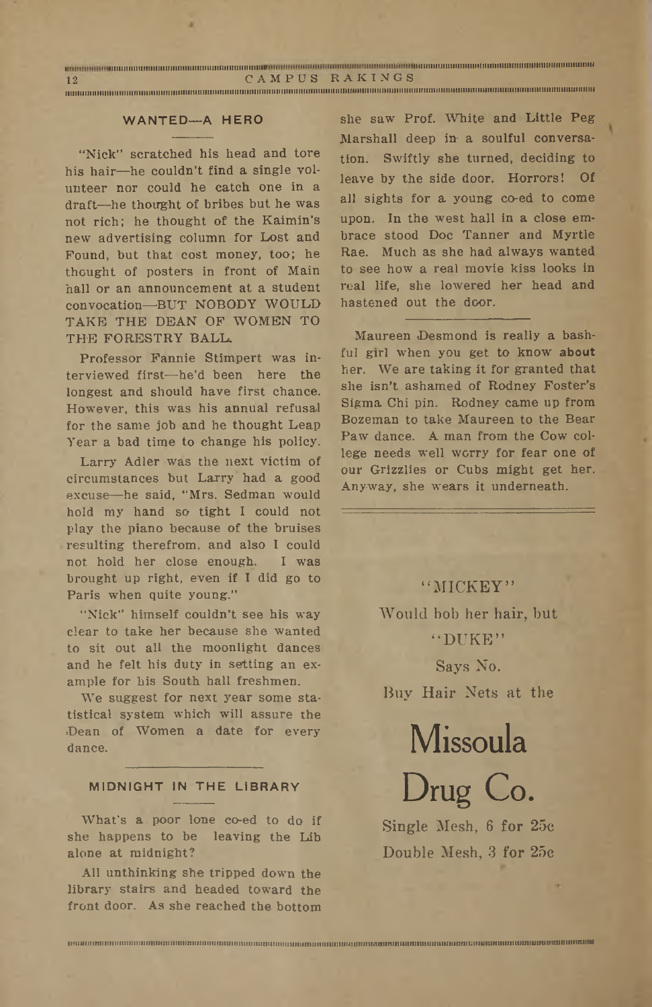| 12 | CAMPUS RAKINGS                                                                                                 |  |
|----|----------------------------------------------------------------------------------------------------------------|--|
|    | visionalittimen iskundungu utara uraan aktua mision markaan montaksi suoman markaan markaan markaan markaan sy |  |

#### **WANTED—A HERO**

"Nick" scratched his head and tore his hair—he couldn't find a single volunteer nor could he catch one in a draft—he thought of bribes but he was not rich; he thought of the Kaimin's new advertising column for Lost and Found, but that cost money, too; he thought of posters in front of Main hall or an announcement at a student convocation—BUT NOBODY WOULD TAKE THE DEAN OF WOMEN TO THE FORESTRY BALL.

Professor Fannie Stimpert was interviewed first—he'd been here the longest and should have first chance. However, this was his annual refusal for the same job and he thought Leap Year a bad time to change his policy.

Larry Adler was the next victim of circumstances but Larry' had a good excuse—he said; "Mrs. Sedman would hold my hand so tight I could not play the piano because of the bruises resulting therefrom, and also I could not hold her close enough. I was brought up right, even if I did go to Paris when quite young."

"Nick" himself couldn't see his way clear to take her because she wanted to sit out all the moonlight dances and he felt his duty in setting an example for his South hall freshmen.

We suggest for next year some statistical system which will assure the Dean of Women a date for every dance.

#### **MIDNIGHT IN THE LIBRARY**

What's a. poor lone co-ed to do if she happens to be leaving the Lib alone at midnight?

All unthinking she tripped down the library stairs and headed toward the front door. As she reached the bottom

**iPUMiiiiniiHHiiitiiiiiitniinitiniiniiiiniiiiiHitiiniHHiinuiiiiiutijiHiiiiiHiiniiiitiiiiitJiuiiiiniitimuiininiuiminniniHiniiiiniiiiiKiiUNUuniufiinumminfniHimM**

she saw Prof. White and Little Peg Marshall deep in- a soulful conversation. Swiftly she turned; deciding to leave by the side door. Horrors! Of all sights for a young co-ed to come upon. In the west hall in a close embrace stood Doc Tanner and Myrtle Rae. Much as she had always wanted to see how a real movie kiss looks in real life, she lowered her head and hastened out the door.

Maureen Desmond is really a bashful girl when you get to know about her. We are taking it for granted that she isn't ashamed of Rodney Foster'<sup>s</sup> Sigma Chi pin. Rodney came up from Bozeman to take Maureen to the Bear Paw dance. A man from the Cow college needs well worry for fear one of our Grizzlies or Cubs might get her. Anyway, she wears it underneath.

> "MICKEY" Would bob her hair, but "DUKE"

> > Says No.

Buy Hair Nets at the

Missoula

Drug Co. Single Mesh, 6 for 25e Double Mesh, 3 for 25c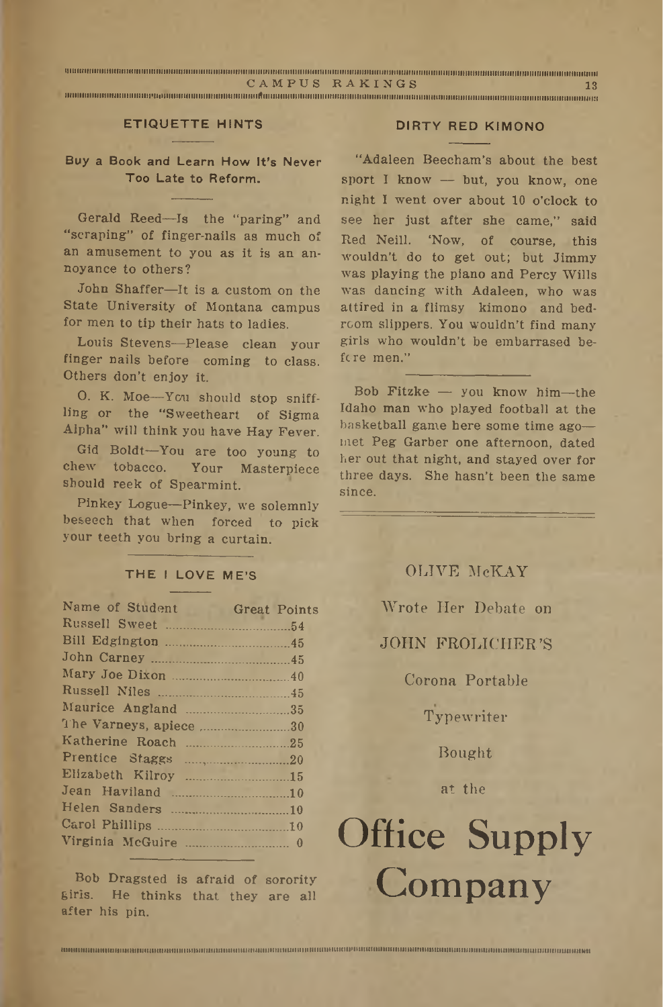|  | CAMPUS RAKINGS |  |
|--|----------------|--|
|  |                |  |

**iimiiimimiiimiimiiimiii'iimmiiimtiiiiuiiiiiiiiiimiiiimiAiiiiiiimmimiiimiiimiiiimimimiiiiiiiiiitiimiiimimiriiiiiiiiiiimiiiuiiiiiiiimmiiiiiiiiiiiiiiiiiiiiiiiiiiiwi**

#### **ETIQUETTE HINTS DIRTY RED KIMONO**

#### **Buy a Book and Learn How It's Never Too Late to Reform.**

Gerald Reed—Is the "paring" and "scraping" of finger-nails as much of an amusement to you as it is an annoyance to others?

John Shaffer—It is a custom-on the State University of Montana campus for men to tip their hats to ladies.

Louis Stevens-Please clean your finger nails before coming to class. Others don't enjoy it.

O. K. Moe—You should stop sniffling or the "Sweetheart of Sigma Alpha" will think you have Hay Fever.

Gid Boldt—You are too young to chew tobacco. Your Masterpiece should reek of Spearmint.

Pinkey Logue—Pinkey, we solemnly beseech that when forced to pick your teeth you' bring a curtain.

#### **THE <sup>I</sup> LOVE ME'S**

| Name of Student Great Points       |  |
|------------------------------------|--|
|                                    |  |
|                                    |  |
|                                    |  |
|                                    |  |
|                                    |  |
| Maurice Angland 35                 |  |
| The Varneys, apiece 30             |  |
|                                    |  |
|                                    |  |
| Elizabeth Kilroy 15                |  |
| Jean Haviland 10                   |  |
|                                    |  |
|                                    |  |
|                                    |  |
|                                    |  |
| Rob Drogeted is ofroid of conspitu |  |

Bob Dragsted is afraid of sorority girls. He thinks that they are all after his pin.

"Adaleen Beecham's about the best sport I know — but, you know, one night I went over about 10 o'clock to see her just, after she came," said Red Neill. 'Now, of course, this wouldn't do to get out; but Jimmy was playing the piano and Percy Wills was dancing with Adaleen, who was attired in a flimsy kimono and bedroom slippers. You wouldn't find many girls who. wouldn't be embarrased before men."

Bob Fitzke — you know him—the Idaho man who played football at the basketball game here some time ago met Peg Garber one afternoon, dated her out that night, and stayed over for three days. She hasn't been the same since.

| OLIVE McKAY             |  |
|-------------------------|--|
| Wrote Her Debate on     |  |
| <b>JOHN FROLICHER'S</b> |  |
| Corona Portable         |  |
| Typewriter              |  |

Bought

at the

## Office Supply Company

**iuHuiMRaiittUi>inuiMttuuMuuuinuiiiiiiiiiiutiuiiiuiiiiiiuiuauiiiuuituiiuitniiintiiuiiiuiiiiuiMiiUMMnNnutBiMniuuuHuiiuiiu»uiiuiuiiiiuuuiuiiiiiniuuuiuutti**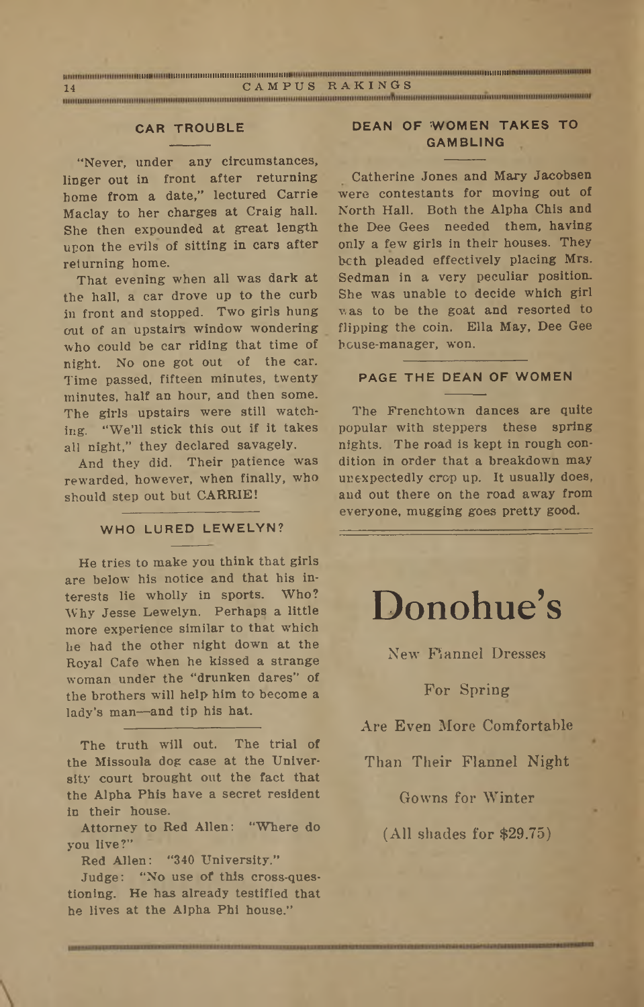| 14 |  | CAMPUS RAKINGS |  |
|----|--|----------------|--|
|    |  |                |  |

"Never, under any circumstances, linger out in front after returning borne from a date," lectured Carrie Maclay to her charges at Craig hall. She then expounded at great length upon the evils of sitting in cars after returning home.

That evening when all was dark at the hall, a car drove up to the curb in front and stopped. Two girls hung out of an upstairs window wondering who could be car riding that time of night. No one got out of the car. Time passed, fifteen minutes, twenty minutes, half an hour, and then some. The girls upstairs were still watching. "We'll stick this out if it takes all night," they declared savagely.

And they did. Their patience was rewarded, however, when finally, who should step out but CARRIE!

#### **WHO LURED LEWELYN?**

He tries to make you think that girls are below his notice and that his interests lie wholly in sports. Who? Why Jesse Lewelyn. Perhaps a little more experience similar to that which he had the other night down at the Royal Cafe when he kissed a strange woman under the "drunken dares" of the brothers will help him to become a lady's man—and tip his hat.

The truth will out. The trial of the Missoula dog case at the University court brought out the fact that the Alpha Phis have a secret resident in their house.

Attorney to Red Allen: "Where do you live?"

Red Allen: "340 University."

Judge: "No use of this cross-questioning. He has already testified that he lives at the Alpha Phi house."

#### **CAR TROUBLE DEAN OF WOMEN TAKES TO GAMBLING**

Catherine Jones and Mary Jacobsen were contestants for moving out of North Hall. Both the Alpha Chis and the Dee Gees needed them, having only a few girls in their houses. They both pleaded effectively placing Mrs. Sedman in a very peculiar position. She was unable to decide which girl was to be the goat and resorted to flipping the coin. Ella May, Dee Gee house-manager, won.

#### **PAGE THE DEAN OF WOMEN**

The Frenchtown dances are quite popular with steppers these spring nights. The road is kept in rough condition in order that a breakdown may unexpectedly crop up. It usually does, and out there on the road away from everyone, mugging goes pretty good.

## Donohue's

New Flannel Dresses

#### For Spring

Are Even More Comfortable

Than Their Flannel Night

Gowns for Winter

(All shades for \$29.75)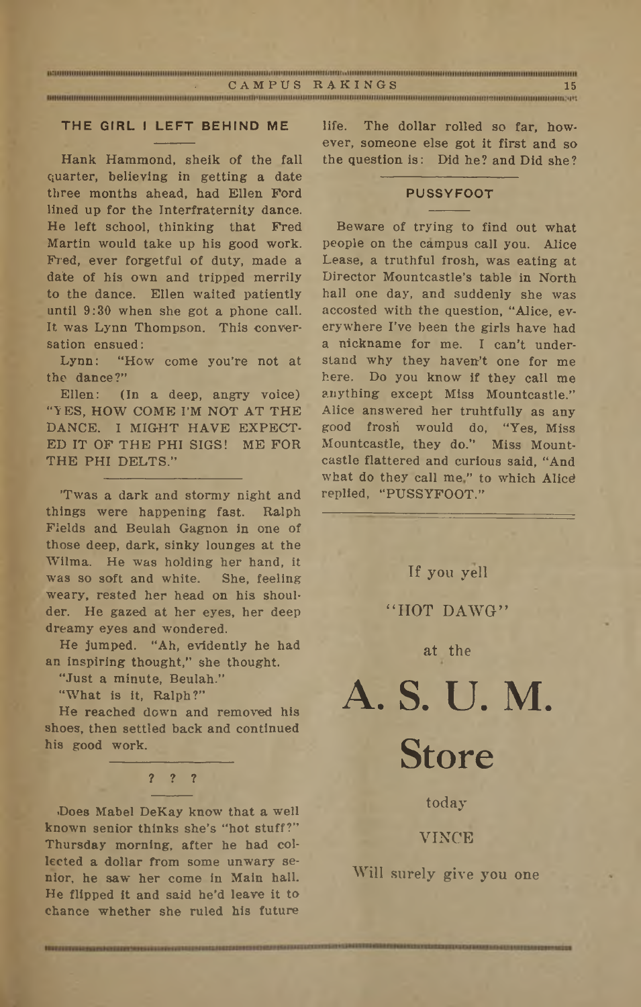| CAMPUS RAKINGS | 15 |
|----------------|----|
|                |    |

#### **THE GIRL <sup>I</sup> LEFT BEHIND ME**

Hank Hammond, sheik of the fall quarter, believing in getting a date three months ahead, had Ellen Ford lined up for the Interfraternity dance. He left school, thinking that Fred Martin would take up his good work. Fred, ever forgetful of duty, made a date of his own and tripped merrily to the dance. Ellen waited patiently until 9:30 when she got a phone call. It was Lynn Thompson. This conversation ensued:

Lynn: "How come you're not at the dance?"

Ellen: (In a deep, angry voice) "YES, HOW COME I'M NOT AT THE DANCE. I MIGHT HAVE EXPECT-ED IT OF THE PHI SIGS! ME FOR THE PHI DELTS."

'Twas a dark and stormy night and things were happening fast. Ralph Fields and Beulah Gagnon in one of those deep, dark, sinky lounges at the Wilma. He was holding her hand, it was so soft and white. She, feeling weary, rested her head on his shoulder. He gazed at her eyes, her deep dreamy eyes and wondered.

He jumped. "Ah, evidently he had an inspiring thought," she thought.

"Just a minute, Beulah."

"What is it, Ralph?"

He reached down and removed his shoes, then settled back and continued his good work.

#### ? ? ?

■Does Mabel DeKay know that a well known senior thinks she's "hot stuff?" Thursday morning, after he had collected a dollar from some unwary senior, he saw her come in Main hall. He flipped it and said he'd leave it to chance whether she ruled his future

life. The dollar rolled so far, however, someone else got it first and so the Question is: Did he? and Did she?

#### **PUSSYFOOT**

Beware of trying to find out what people bn the campus call you. Alice Lease, a truthful frosh, was eating at Director Mountcastle's table in North hall one day, and suddenly she was accosted with the question, "Alice, everywhere I've been the girls have had a nickname for me. I can't understand why they haven't one for me here. Do you know if they call me anything except Miss Mountcastle.'' Alice answered her truhtfully as any good frosi would do, "Yes, Miss Mountcastle, they do." Miss Mountcastle flattered and curious said, "And what do they call me" to which Alice replied, "PUSSYFOOT."

If you yell

"HOT DAWG"

#### at the

# A. S. U. M. Store

today VINCE

Will surely give you one